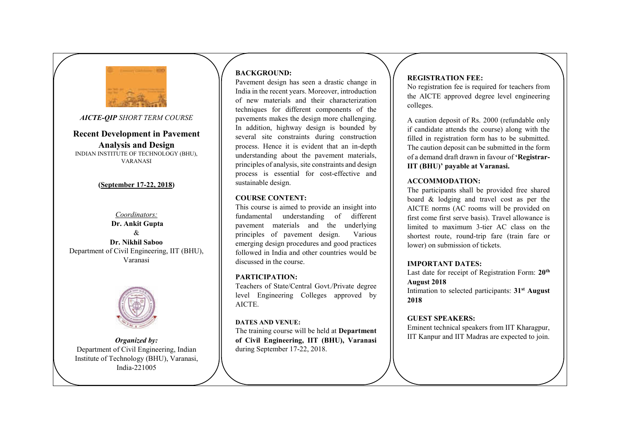

*AICTE-QIP SHORT TERM COURSE*

**Recent Development in Pavement Analysis and Design**  INDIAN INSTITUTE OF TECHNOLOGY (BHU), VARANASI

# **(September 17-22, 2018)**

*Coordinators:*  **Dr. Ankit Gupta**   $\mathcal{R}_{\mathcal{L}}$ **Dr. Nikhil Saboo**  Department of Civil Engineering, IIT (BHU), Varanasi



*Organized by:*  Department of Civil Engineering, Indian Institute of Technology (BHU), Varanasi, India-221005

# **BACKGROUND:**

Pavement design has seen a drastic change in India in the recent years. Moreover, introduction of new materials and their characterization techniques for different components of the pavements makes the design more challenging. In addition, highway design is bounded by several site constraints during construction process. Hence it is evident that an in-depth understanding about the pavement materials, principles of analysis, site constraints and design process is essential for cost-effective and sustainable design.

#### **COURSE CONTENT:**

This course is aimed to provide an insight into fundamental understanding of different pavement materials and the underlying principles of pavement design. Various emerging design procedures and good practices followed in India and other countries would be discussed in the course.

#### **PARTICIPATION:**

Teachers of State/Central Govt./Private degree level Engineering Colleges approved by AICTE.

#### **DATES AND VENUE:**

The training course will be held at **Department of Civil Engineering, IIT (BHU), Varanasi**  during September 17-22, 2018.

# **REGISTRATION FEE:**

No registration fee is required for teachers from the AICTE approved degree level engineering colleges.

A caution deposit of Rs. 2000 (refundable only if candidate attends the course) along with the filled in registration form has to be submitted. The caution deposit can be submitted in the form of a demand draft drawn in favour of **'Registrar-IIT (BHU)' payable at Varanasi.** 

## **ACCOMMODATION:**

The participants shall be provided free shared board & lodging and travel cost as per the AICTE norms (AC rooms will be provided on first come first serve basis). Travel allowance is limited to maximum 3-tier AC class on the shortest route, round-trip fare (train fare or lower) on submission of tickets.

#### **IMPORTANT DATES:**

Last date for receipt of Registration Form: **20th August 2018** 

Intimation to selected participants: **31st August 2018**

#### **GUEST SPEAKERS:**

Eminent technical speakers from IIT Kharagpur, IIT Kanpur and IIT Madras are expected to join.